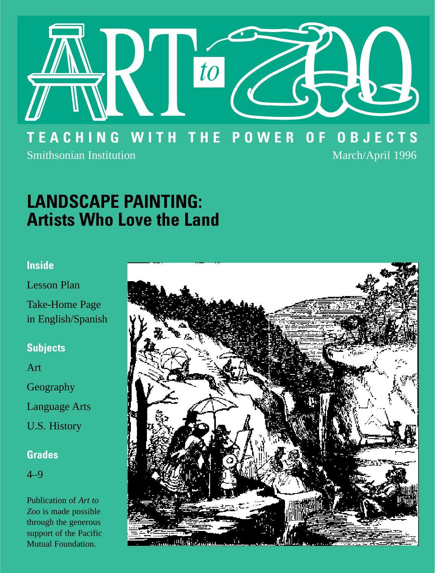

### **TEACHING WITH THE POWER OF OBJECTS** Smithsonian Institution and April 1996 March/April 1996

## **LANDSCAPE PAINTING: Artists Who Love the Land**

### **Inside**

Lesson Plan

Take-Home Page in English/Spanish

### **Subjects**

Art

Geography

Language Arts

U.S. History

### **Grades**

4–9

Publication of *Art to Zoo* is made possible through the generous support of the Pacific Mutual Foundation.

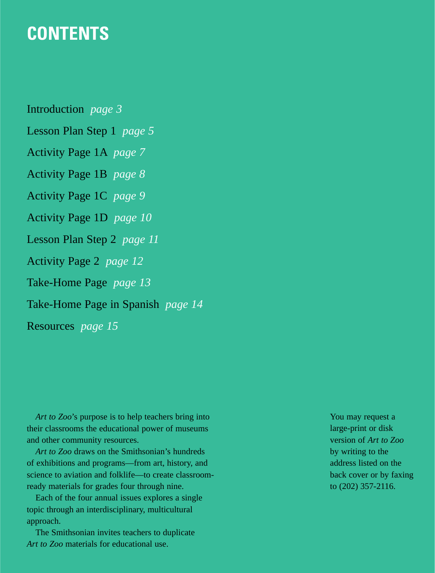### **CONTENTS**

Introduction *page 3* Lesson Plan Step 1 *page 5* Activity Page 1A *page 7*  Activity Page 1B *page 8* Activity Page 1C *page 9* Activity Page 1D *page 10* Lesson Plan Step 2 *page 11* Activity Page 2 *page 12* Take-Home Page *page 13* Take-Home Page in Spanish *page 14* Resources *page 15*

*Art to Zoo*'s purpose is to help teachers bring into their classrooms the educational power of museums and other community resources.

*Art to Zoo* draws on the Smithsonian's hundreds of exhibitions and programs—from art, history, and science to aviation and folklife—to create classroomready materials for grades four through nine.

Each of the four annual issues explores a single topic through an interdisciplinary, multicultural approach.

The Smithsonian invites teachers to duplicate *Art to Zoo* materials for educational use.

You may request a large-print or disk version of *Art to Zoo*  by writing to the address listed on the back cover or by faxing to (202) 357-2116.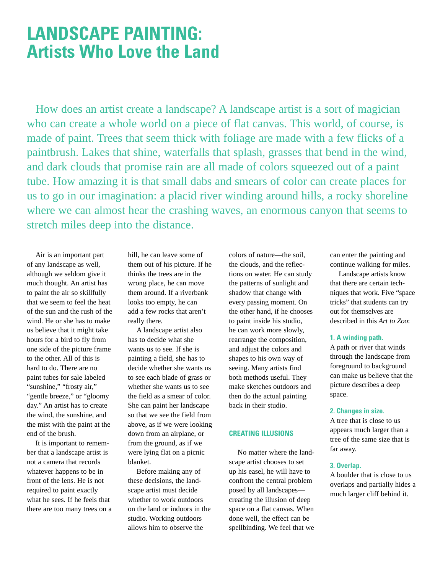### **LANDSCAPE PAINTING: Artists Who Love the Land**

How does an artist create a landscape? A landscape artist is a sort of magician who can create a whole world on a piece of flat canvas. This world, of course, is made of paint. Trees that seem thick with foliage are made with a few flicks of a paintbrush. Lakes that shine, waterfalls that splash, grasses that bend in the wind, and dark clouds that promise rain are all made of colors squeezed out of a paint tube. How amazing it is that small dabs and smears of color can create places for us to go in our imagination: a placid river winding around hills, a rocky shoreline where we can almost hear the crashing waves, an enormous canyon that seems to stretch miles deep into the distance.

Air is an important part of any landscape as well, although we seldom give it much thought. An artist has to paint the air so skillfully that we seem to feel the heat of the sun and the rush of the wind. He or she has to make us believe that it might take hours for a bird to fly from one side of the picture frame to the other. All of this is hard to do. There are no paint tubes for sale labeled "sunshine," "frosty air," "gentle breeze," or "gloomy" day." An artist has to create the wind, the sunshine, and the mist with the paint at the end of the brush.

It is important to remember that a landscape artist is not a camera that records whatever happens to be in front of the lens. He is not required to paint exactly what he sees. If he feels that there are too many trees on a hill, he can leave some of them out of his picture. If he thinks the trees are in the wrong place, he can move them around. If a riverbank looks too empty, he can add a few rocks that aren't really there.

A landscape artist also has to decide what she wants us to see. If she is painting a field, she has to decide whether she wants us to see each blade of grass or whether she wants us to see the field as a smear of color. She can paint her landscape so that we see the field from above, as if we were looking down from an airplane, or from the ground, as if we were lying flat on a picnic blanket.

Before making any of these decisions, the landscape artist must decide whether to work outdoors on the land or indoors in the studio. Working outdoors allows him to observe the

colors of nature—the soil, the clouds, and the reflections on water. He can study the patterns of sunlight and shadow that change with every passing moment. On the other hand, if he chooses to paint inside his studio, he can work more slowly, rearrange the composition, and adjust the colors and shapes to his own way of seeing. Many artists find both methods useful. They make sketches outdoors and then do the actual painting back in their studio.

#### **CREATING ILLUSIONS**

No matter where the landscape artist chooses to set up his easel, he will have to confront the central problem posed by all landscapes creating the illusion of deep space on a flat canvas. When done well, the effect can be spellbinding. We feel that we can enter the painting and continue walking for miles.

Landscape artists know that there are certain techniques that work. Five "space tricks" that students can try out for themselves are described in this *Art to Zoo*:

#### **1. A winding path.**

A path or river that winds through the landscape from foreground to background can make us believe that the picture describes a deep space.

#### **2. Changes in size.**

A tree that is close to us appears much larger than a tree of the same size that is far away.

#### **3. Overlap.**

A boulder that is close to us overlaps and partially hides a much larger cliff behind it.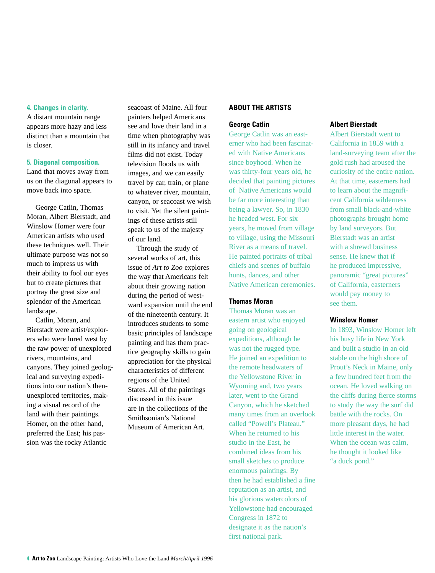#### **4. Changes in clarity.**

A distant mountain range appears more hazy and less distinct than a mountain that is closer.

#### **5. Diagonal composition.**

Land that moves away from us on the diagonal appears to move back into space.

George Catlin, Thomas Moran, Albert Bierstadt, and Winslow Homer were four American artists who used these techniques well. Their ultimate purpose was not so much to impress us with their ability to fool our eyes but to create pictures that portray the great size and splendor of the American landscape.

Catlin, Moran, and Bierstadt were artist/explorers who were lured west by the raw power of unexplored rivers, mountains, and canyons. They joined geological and surveying expeditions into our nation's thenunexplored territories, making a visual record of the land with their paintings. Homer, on the other hand, preferred the East; his passion was the rocky Atlantic

seacoast of Maine. All four painters helped Americans see and love their land in a time when photography was still in its infancy and travel films did not exist. Today television floods us with images, and we can easily travel by car, train, or plane to whatever river, mountain, canyon, or seacoast we wish to visit. Yet the silent paintings of these artists still speak to us of the majesty of our land.

Through the study of several works of art, this issue of *Art to Zoo* explores the way that Americans felt about their growing nation during the period of westward expansion until the end of the nineteenth century. It introduces students to some basic principles of landscape painting and has them practice geography skills to gain appreciation for the physical characteristics of different regions of the United States. All of the paintings discussed in this issue are in the collections of the Smithsonian's National Museum of American Art.

#### **ABOUT THE ARTISTS**

#### **George Catlin**

George Catlin was an easterner who had been fascinated with Native Americans since boyhood. When he was thirty-four years old, he decided that painting pictures of Native Americans would be far more interesting than being a lawyer. So, in 1830 he headed west. For six years, he moved from village to village, using the Missouri River as a means of travel. He painted portraits of tribal chiefs and scenes of buffalo hunts, dances, and other Native American ceremonies.

#### **Thomas Moran**

Thomas Moran was an eastern artist who enjoyed going on geological expeditions, although he was not the rugged type. He joined an expedition to the remote headwaters of the Yellowstone River in Wyoming and, two years later, went to the Grand Canyon, which he sketched many times from an overlook called "Powell's Plateau." When he returned to his studio in the East, he combined ideas from his small sketches to produce enormous paintings. By then he had established a fine reputation as an artist, and his glorious watercolors of Yellowstone had encouraged Congress in 1872 to designate it as the nation's first national park.

#### **Albert Bierstadt**

Albert Bierstadt went to California in 1859 with a land-surveying team after the gold rush had aroused the curiosity of the entire nation. At that time, easterners had to learn about the magnificent California wilderness from small black-and-white photographs brought home by land surveyors. But Bierstadt was an artist with a shrewd business sense. He knew that if he produced impressive, panoramic "great pictures" of California, easterners would pay money to see them.

#### **Winslow Homer**

In 1893, Winslow Homer left his busy life in New York and built a studio in an old stable on the high shore of Prout's Neck in Maine, only a few hundred feet from the ocean. He loved walking on the cliffs during fierce storms to study the way the surf did battle with the rocks. On more pleasant days, he had little interest in the water. When the ocean was calm, he thought it looked like "a duck pond."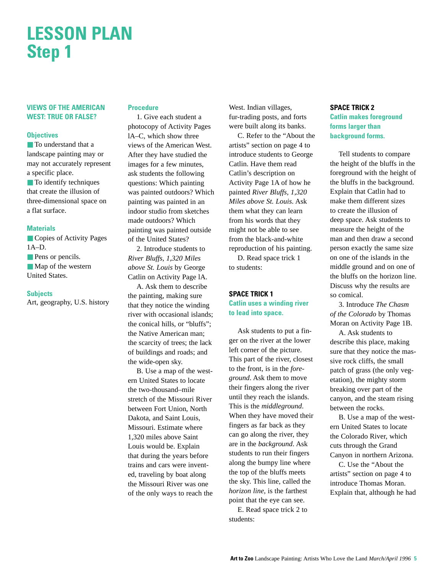## **LESSON PLAN Step 1**

#### **VIEWS OF THE AMERICAN WEST: TRUE OR FALSE?**

#### **Objectives**

■ To understand that a landscape painting may or may not accurately represent a specific place.

■ To identify techniques that create the illusion of three-dimensional space on a flat surface.

#### **Materials**

■ Copies of Activity Pages 1A–D. ■ Pens or pencils. ■ Map of the western

#### **Subjects**

United States.

Art, geography, U.S. history

#### **Procedure**

1. Give each student a photocopy of Activity Pages lA–C, which show three views of the American West. After they have studied the images for a few minutes, ask students the following questions: Which painting was painted outdoors? Which painting was painted in an indoor studio from sketches made outdoors? Which painting was painted outside of the United States?

2. Introduce students to *River Bluffs, 1,320 Miles above St. Louis* by George Catlin on Activity Page lA.

A. Ask them to describe the painting, making sure that they notice the winding river with occasional islands; the conical hills, or "bluffs"; the Native American man; the scarcity of trees; the lack of buildings and roads; and the wide-open sky.

B. Use a map of the western United States to locate the two-thousand–mile stretch of the Missouri River between Fort Union, North Dakota, and Saint Louis, Missouri. Estimate where 1,320 miles above Saint Louis would be. Explain that during the years before trains and cars were invented, traveling by boat along the Missouri River was one of the only ways to reach the West. Indian villages, fur-trading posts, and forts were built along its banks.

C. Refer to the "About the artists" section on page 4 to introduce students to George Catlin. Have them read Catlin's description on Activity Page 1A of how he painted *River Bluffs, 1,320 Miles above St. Louis*. Ask them what they can learn from his words that they might not be able to see from the black-and-white reproduction of his painting.

D. Read space trick 1 to students:

#### **SPACE TRICK 1 Catlin uses a winding river to lead into space.**

Ask students to put a finger on the river at the lower left corner of the picture. This part of the river, closest to the front, is in the *foreground*. Ask them to move their fingers along the river until they reach the islands. This is the *middleground*. When they have moved their fingers as far back as they can go along the river, they are in the *background*. Ask students to run their fingers along the bumpy line where the top of the bluffs meets the sky. This line, called the *horizon line*, is the farthest point that the eye can see.

E. Read space trick 2 to students:

#### **SPACE TRICK 2 Catlin makes foreground forms larger than background forms.**

Tell students to compare the height of the bluffs in the foreground with the height of the bluffs in the background. Explain that Catlin had to make them different sizes to create the illusion of deep space. Ask students to measure the height of the man and then draw a second person exactly the same size on one of the islands in the middle ground and on one of the bluffs on the horizon line. Discuss why the results are so comical.

3. Introduce *The Chasm of the Colorado* by Thomas Moran on Activity Page 1B.

A. Ask students to describe this place, making sure that they notice the massive rock cliffs, the small patch of grass (the only vegetation), the mighty storm breaking over part of the canyon, and the steam rising between the rocks.

B. Use a map of the western United States to locate the Colorado River, which cuts through the Grand Canyon in northern Arizona.

C. Use the "About the artists" section on page 4 to introduce Thomas Moran. Explain that, although he had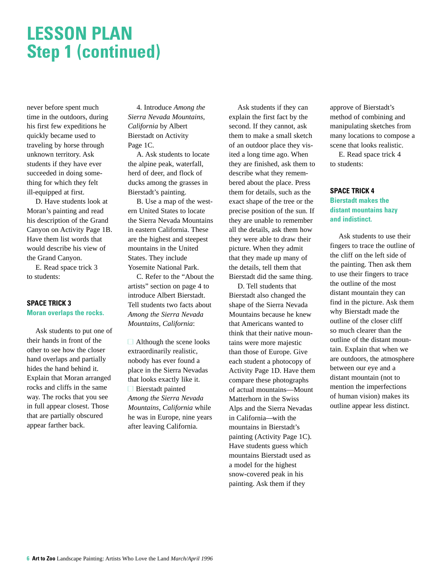### **LESSON PLAN Step 1 (continued)**

never before spent much time in the outdoors, during his first few expeditions he quickly became used to traveling by horse through unknown territory. Ask students if they have ever succeeded in doing something for which they felt ill-equipped at first.

D. Have students look at Moran's painting and read his description of the Grand Canyon on Activity Page 1B. Have them list words that would describe his view of the Grand Canyon.

E. Read space trick 3 to students:

#### **SPACE TRICK 3 Moran overlaps the rocks.**

Ask students to put one of their hands in front of the other to see how the closer hand overlaps and partially hides the hand behind it. Explain that Moran arranged rocks and cliffs in the same way. The rocks that you see in full appear closest. Those that are partially obscured appear farther back.

4. Introduce *Among the Sierra Nevada Mountains, California* by Albert Bierstadt on Activity Page 1C.

A. Ask students to locate the alpine peak, waterfall, herd of deer, and flock of ducks among the grasses in Bierstadt's painting.

B. Use a map of the western United States to locate the Sierra Nevada Mountains in eastern California. These are the highest and steepest mountains in the United States. They include Yosemite National Park.

C. Refer to the "About the artists" section on page 4 to introduce Albert Bierstadt. Tell students two facts about *Among the Sierra Nevada Mountains, California*:

 $\Box$  Although the scene looks extraordinarily realistic, nobody has ever found a place in the Sierra Nevadas that looks exactly like it.  $\Box$  Bierstadt painted *Among the Sierra Nevada Mountains, California* while he was in Europe, nine years after leaving California.

Ask students if they can explain the first fact by the second. If they cannot, ask them to make a small sketch of an outdoor place they visited a long time ago. When they are finished, ask them to describe what they remembered about the place. Press them for details, such as the exact shape of the tree or the precise position of the sun. If they are unable to remember all the details, ask them how they were able to draw their picture. When they admit that they made up many of the details, tell them that Bierstadt did the same thing.

D. Tell students that Bierstadt also changed the shape of the Sierra Nevada Mountains because he knew that Americans wanted to think that their native mountains were more majestic than those of Europe. Give each student a photocopy of Activity Page 1D. Have them compare these photographs of actual mountains—Mount Matterhorn in the Swiss Alps and the Sierra Nevadas in California—with the mountains in Bierstadt's painting (Activity Page 1C). Have students guess which mountains Bierstadt used as a model for the highest snow-covered peak in his painting. Ask them if they

approve of Bierstadt's method of combining and manipulating sketches from many locations to compose a scene that looks realistic. E. Read space trick 4 to students:

#### **SPACE TRICK 4 Bierstadt makes the distant mountains hazy and indistinct.**

Ask students to use their fingers to trace the outline of the cliff on the left side of the painting. Then ask them to use their fingers to trace the outline of the most distant mountain they can find in the picture. Ask them why Bierstadt made the outline of the closer cliff so much clearer than the outline of the distant mountain. Explain that when we are outdoors, the atmosphere between our eye and a distant mountain (not to mention the imperfections of human vision) makes its outline appear less distinct.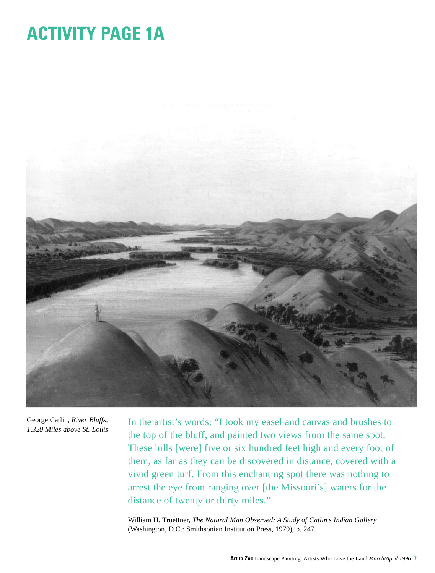# **ACTIVITY PAGE 1A**



George Catlin, *River Bluffs, 1,320 Miles above St. Louis*

In the artist's words: "I took my easel and canvas and brushes to the top of the bluff, and painted two views from the same spot. These hills [were] five or six hundred feet high and every foot of them, as far as they can be discovered in distance, covered with a vivid green turf. From this enchanting spot there was nothing to arrest the eye from ranging over [the Missouri's] waters for the distance of twenty or thirty miles."

William H. Truettner, *The Natural Man Observed: A Study of Catlin's Indian Gallery* (Washington, D.C.: Smithsonian Institution Press, 1979), p. 247.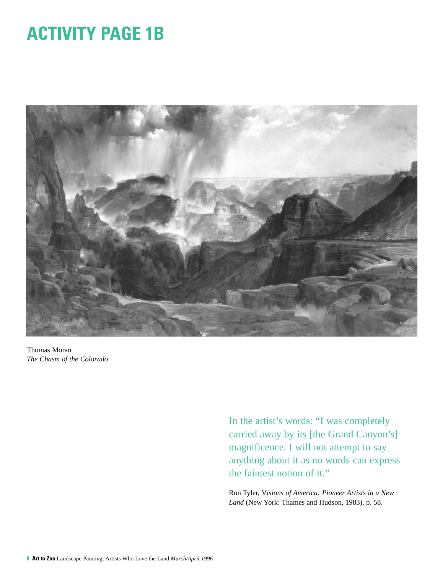## **ACTIVITY PAGE 1B**



Thomas Moran *The Chasm of the Colorado*

In the artist's words: "I was completely carried away by its [the Grand Canyon's] magnificence. I will not attempt to say anything about it as no words can express the faintest notion of it."

Ron Tyler, V*isions of America: Pioneer Artists in a New Land* (New York: Thames and Hudson, 1983), p. 58.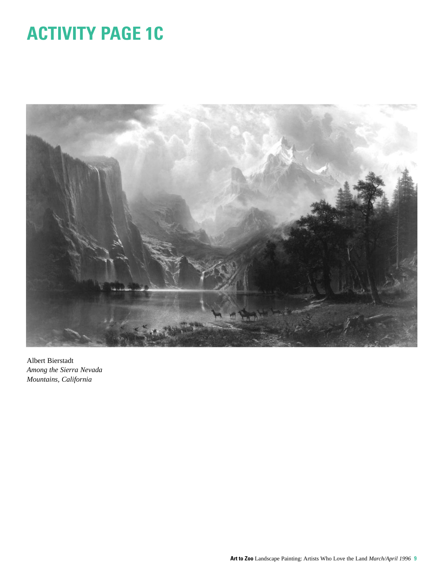# **ACTIVITY PAGE 1C**



Albert Bierstadt *Among the Sierra Nevada Mountains, California*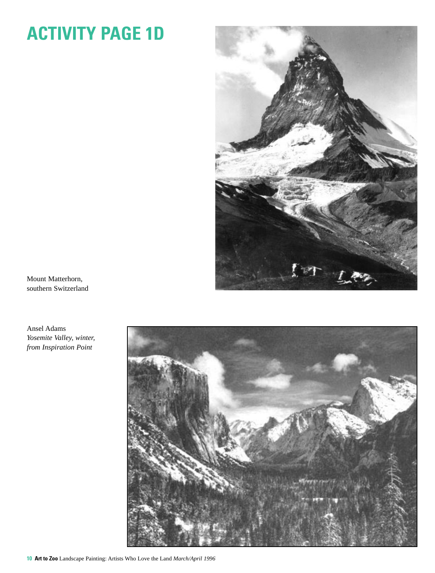# **ACTIVITY PAGE 1D**



Mount Matterhorn, southern Switzerland

Ansel Adams *Yosemite Valley, winter, from Inspiration Point*

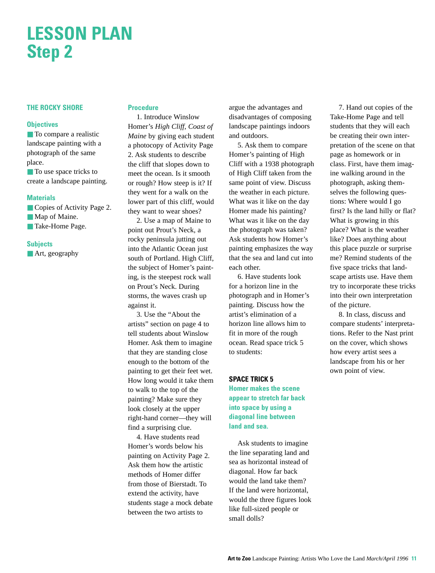## **LESSON PLAN Step 2**

#### **THE ROCKY SHORE**

#### **Objectives**

■ To compare a realistic landscape painting with a photograph of the same place.

■ To use space tricks to create a landscape painting.

#### **Materials**

- Copies of Activity Page 2. ■ Map of Maine.
- Take-Home Page.

#### **Subjects**

■ Art, geography

#### **Procedure**

1. Introduce Winslow Homer's *High Cliff, Coast of Maine* by giving each student a photocopy of Activity Page 2. Ask students to describe the cliff that slopes down to meet the ocean. Is it smooth or rough? How steep is it? If they went for a walk on the lower part of this cliff, would they want to wear shoes?

2. Use a map of Maine to point out Prout's Neck, a rocky peninsula jutting out into the Atlantic Ocean just south of Portland. High Cliff, the subject of Homer's painting, is the steepest rock wall on Prout's Neck. During storms, the waves crash up against it.

3. Use the "About the artists" section on page 4 to tell students about Winslow Homer. Ask them to imagine that they are standing close enough to the bottom of the painting to get their feet wet. How long would it take them to walk to the top of the painting? Make sure they look closely at the upper right-hand corner—they will find a surprising clue.

4. Have students read Homer's words below his painting on Activity Page 2. Ask them how the artistic methods of Homer differ from those of Bierstadt. To extend the activity, have students stage a mock debate between the two artists to

argue the advantages and disadvantages of composing landscape paintings indoors and outdoors.

5. Ask them to compare Homer's painting of High Cliff with a 1938 photograph of High Cliff taken from the same point of view. Discuss the weather in each picture. What was it like on the day Homer made his painting? What was it like on the day the photograph was taken? Ask students how Homer's painting emphasizes the way that the sea and land cut into each other.

6. Have students look for a horizon line in the photograph and in Homer's painting. Discuss how the artist's elimination of a horizon line allows him to fit in more of the rough ocean. Read space trick 5 to students:

#### **SPACE TRICK 5**

**Homer makes the scene appear to stretch far back into space by using a diagonal line between land and sea.**

Ask students to imagine the line separating land and sea as horizontal instead of diagonal. How far back would the land take them? If the land were horizontal, would the three figures look like full-sized people or small dolls?

7. Hand out copies of the Take-Home Page and tell students that they will each be creating their own interpretation of the scene on that page as homework or in class. First, have them imagine walking around in the photograph, asking themselves the following questions: Where would I go first? Is the land hilly or flat? What is growing in this place? What is the weather like? Does anything about this place puzzle or surprise me? Remind students of the five space tricks that landscape artists use. Have them try to incorporate these tricks into their own interpretation of the picture.

8. In class, discuss and compare students' interpretations. Refer to the Nast print on the cover, which shows how every artist sees a landscape from his or her own point of view.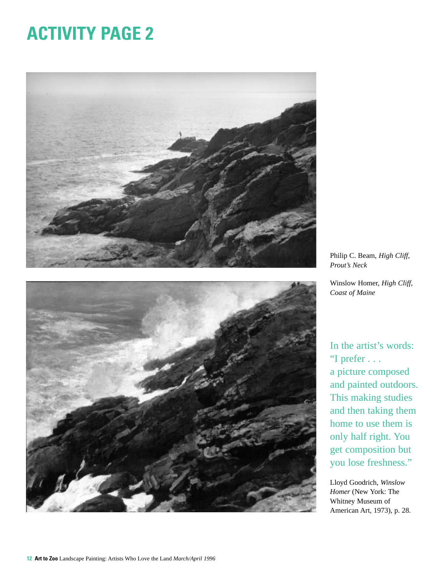# **ACTIVITY PAGE 2**



Philip C. Beam, *High Cliff, Prout's Neck*

Winslow Homer, *High Cliff, Coast of Maine*

In the artist's words: "I prefer . . . a picture composed and painted outdoors. This making studies and then taking them home to use them is only half right. You get composition but you lose freshness."

Lloyd Goodrich, *Winslow Homer* (New York: The Whitney Museum of American Art, 1973), p. 28.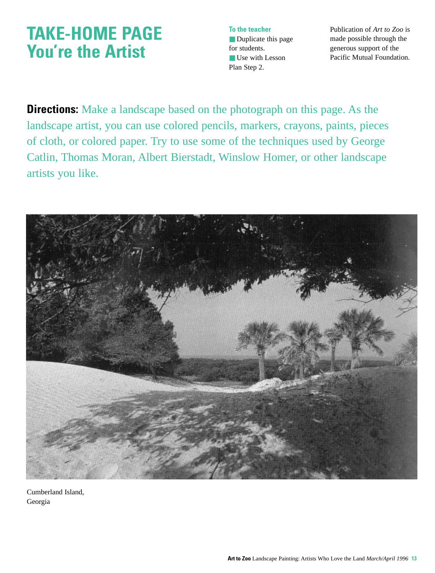### **TAKE-HOME PAGE You're the Artist**

**To the teacher** ■ Duplicate this page for students. ■ Use with Lesson Plan Step 2.

Publication of *Art to Zoo* is made possible through the generous support of the Pacific Mutual Foundation.

**Directions:** Make a landscape based on the photograph on this page. As the landscape artist, you can use colored pencils, markers, crayons, paints, pieces of cloth, or colored paper. Try to use some of the techniques used by George Catlin, Thomas Moran, Albert Bierstadt, Winslow Homer, or other landscape artists you like.



Cumberland Island, Georgia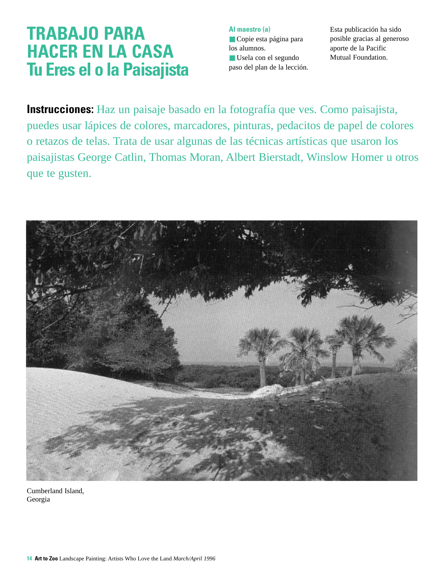### **TRABAJO PARA HACER EN LA CASA Tu Eres el o la Paisajista**

**Al maestro (a)** ■ Copie esta página para los alumnos. ■ Usela con el segundo paso del plan de la lección. Esta publicación ha sido posible gracias al generoso aporte de la Pacific Mutual Foundation.

**Instrucciones:** Haz un paisaje basado en la fotografía que ves. Como paisajista, puedes usar lápices de colores, marcadores, pinturas, pedacitos de papel de colores o retazos de telas. Trata de usar algunas de las técnicas artísticas que usaron los paisajistas George Catlin, Thomas Moran, Albert Bierstadt, Winslow Homer u otros que te gusten.



Cumberland Island, Georgia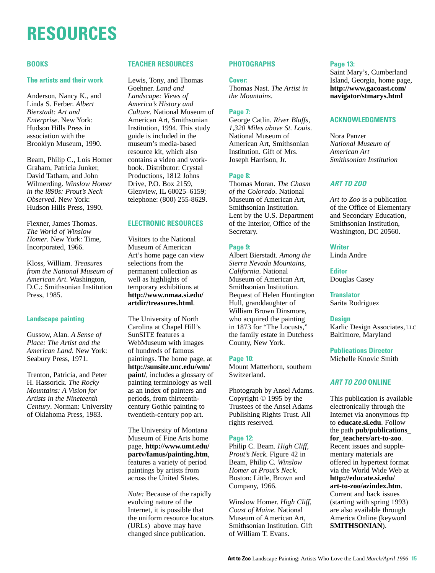# **RESOURCES**

#### **BOOKS**

#### **The artists and their work**

Anderson, Nancy K., and Linda S. Ferber. *Albert Bierstadt: Art and Enterprise*. New York: Hudson Hills Press in association with the Brooklyn Museum, 1990.

Beam, Philip C., Lois Homer Graham, Patricia Junker, David Tatham, and John Wilmerding. *Winslow Homer in the l890s: Prout's Neck Observed*. New York: Hudson Hills Press, 1990.

Flexner, James Thomas. *The World of Winslow Homer*. New York: Time, Incorporated, 1966.

Kloss, William. *Treasures from the National Museum of American Art*. Washington, D.C.: Smithsonian Institution Press, 1985.

#### **Landscape painting**

Gussow, Alan. *A Sense of Place: The Artist and the American Land*. New York: Seabury Press, 1971.

Trenton, Patricia, and Peter H. Hassorick. *The Rocky Mountains: A Vision for Artists in the Nineteenth Century*. Norman: University of Oklahoma Press, 1983.

#### **TEACHER RESOURCES**

Lewis, Tony, and Thomas Goehner. *Land and Landscape: Views of America's History and Culture*. National Museum of American Art, Smithsonian Institution, 1994. This study guide is included in the museum's media-based resource kit, which also contains a video and workbook. Distributor: Crystal Productions, 1812 Johns Drive, P.O. Box 2159, Glenview, IL 60025–6159; telephone: (800) 255-8629.

#### **ELECTRONIC RESOURCES**

Visitors to the National Museum of American Art's home page can view selections from the permanent collection as well as highlights of temporary exhibitions at **http://www.nmaa.si.edu/ artdir/treasures.html**.

The University of North Carolina at Chapel Hill's SunSITE features a WebMuseum with images of hundreds of famous paintings. The home page, at **http://sunsite.unc.edu/wm/ paint/**, includes a glossary of painting terminology as well as an index of painters and periods, from thirteenthcentury Gothic painting to twentieth-century pop art.

The University of Montana Museum of Fine Arts home page, **http://www.umt.edu/ partv/famus/painting.htm**, features a variety of period paintings by artists from across the United States.

*Note:* Because of the rapidly evolving nature of the Internet, it is possible that the uniform resource locators (URLs) above may have changed since publication.

#### **PHOTOGRAPHS**

#### **Cover:**

Thomas Nast. *The Artist in the Mountains*.

#### **Page 7:**

George Catlin. *River Bluffs, 1,320 Miles above St. Louis*. National Museum of American Art, Smithsonian Institution. Gift of Mrs. Joseph Harrison, Jr.

#### **Page 8:**

Thomas Moran. *The Chasm of the Colorado*. National Museum of American Art, Smithsonian Institution. Lent by the U.S. Department of the Interior, Office of the Secretary.

#### **Page 9:**

Albert Bierstadt. *Among the Sierra Nevada Mountains, California*. National Museum of American Art, Smithsonian Institution. Bequest of Helen Huntington Hull, granddaughter of William Brown Dinsmore, who acquired the painting in 1873 for "The Locusts," the family estate in Dutchess County, New York.

#### **Page 10:**

Mount Matterhorn, southern Switzerland.

Photograph by Ansel Adams. Copyright © 1995 by the Trustees of the Ansel Adams Publishing Rights Trust. All rights reserved.

#### **Page 12:**

Philip C. Beam. *High Cliff, Prout's Neck*. Figure 42 in Beam, Philip C. *Winslow Homer at Prout's Neck*. Boston: Little, Brown and Company, 1966.

Winslow Homer. *High Cliff, Coast of Maine*. National Museum of American Art, Smithsonian Institution. Gift of William T. Evans.

#### **Page 13:**

Saint Mary's, Cumberland Island, Georgia, home page, **http://www.gacoast.com/ navigator/stmarys.html**

#### **ACKNOWLEDGMENTS**

Nora Panzer *National Museum of American Art Smithsonian Institution*

#### **ART TO ZOO**

*Art to Zoo* is a publication of the Office of Elementary and Secondary Education, Smithsonian Institution, Washington, DC 20560.

#### **Writer**

Linda Andre

**Editor** Douglas Casey

**Translator** Sarita Rodriguez

#### **Design**

Karlic Design Associates, LLC Baltimore, Maryland

**Publications Director** Michelle Knovic Smith

#### **ART TO ZOO ONLINE**

This publication is available electronically through the Internet via anonymous ftp to **educate.si.edu**. Follow the path **pub/publications\_ for\_teachers/art-to-zoo**. Recent issues and supplementary materials are offered in hypertext format via the World Wide Web at **http://educate.si.edu/ art-to-zoo/azindex.htm**. Current and back issues (starting with spring 1993) are also available through America Online (keyword **SMITHSONIAN**).